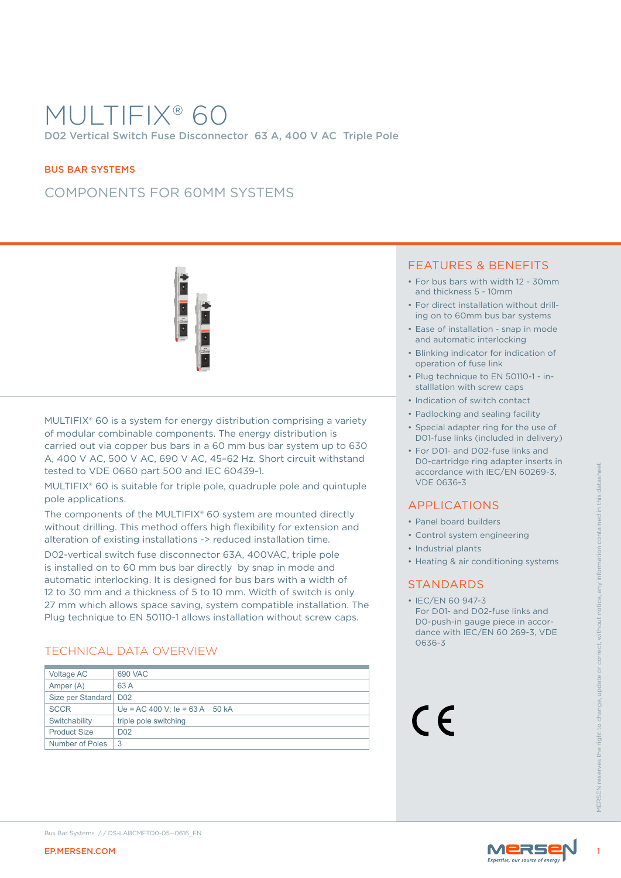# MULTIFIX® 60 D02 Vertical Switch Fuse Disconnector 63 A, 400 V AC Triple Pole

#### BUS BAR SYSTEMS

## COMPONENTS FOR 60MM SYSTEMS



MULTIFIX<sup>®</sup> 60 is a system for energy distribution comprising a variety of modular combinable components. The energy distribution is carried out via copper bus bars in a 60 mm bus bar system up to 630 A, 400 V AC, 500 V AC, 690 V AC, 45–62 Hz. Short circuit withstand tested to VDE 0660 part 500 and IEC 60439-1.

### TECHNICAL DATA OVERVIEW

### FEATURES & BENEFITS

- For bus bars with width 12 30mm and thickness 5 - 10mm
- For direct installation without drilling on to 60mm bus bar systems
- Ease of installation snap in mode and automatic interlocking
- Blinking indicator for indication of operation of fuse link
- Plug technique to EN 50110-1 installlation with screw caps
- Indication of switch contact
- Padlocking and sealing facility
- Special adapter ring for the use of D01-fuse links (included in delivery)
- For D01- and D02-fuse links and D0-cartridge ring adapter inserts in accordance with IEC/EN 60269-3, VDE 0636-3

### APPLICATIONS

- Panel board builders
- Control system engineering
- Industrial plants
- Heating & air conditioning systems

### STANDARDS



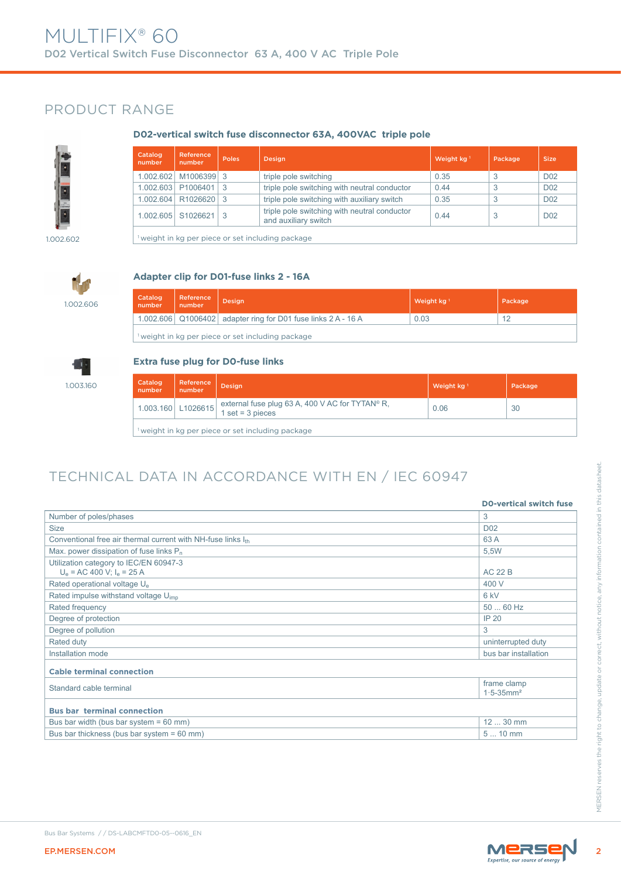## PRODUCT RANGE

#### **D02-vertical switch fuse disconnector 63A, 400VAC triple pole**



| Catalog<br>number | Reference<br>number  | <b>Poles</b> | <b>Design</b>                                                        | Weight kg <sup>1</sup> | Package | <b>Size</b>     |
|-------------------|----------------------|--------------|----------------------------------------------------------------------|------------------------|---------|-----------------|
| 1.002.602         | M1006399             | -3           | triple pole switching                                                | 0.35                   | 3       | D <sub>02</sub> |
| 1.002.603         | P1006401             | 3            | triple pole switching with neutral conductor                         | 0.44                   | 3       | D <sub>02</sub> |
| 1.002.604         | R <sub>1026620</sub> | -3           | triple pole switching with auxiliary switch                          | 0.35                   |         | D <sub>02</sub> |
| 1.002.605         | S1026621             | 3            | triple pole switching with neutral conductor<br>and auxiliary switch | 0.44                   |         | D <sub>02</sub> |
|                   |                      |              | weight in ka per piece or set including package                      |                        |         |                 |

1.002.602

## **Adapter clip for D01-fuse links 2 - 16A**

1.002.606

1.003.160

| Catalog<br>number                               | Reference<br>number | <b>Design</b>                                                     | Weight $kg1$ | Package |
|-------------------------------------------------|---------------------|-------------------------------------------------------------------|--------------|---------|
|                                                 |                     | 1.002.606   Q1006402   adapter ring for D01 fuse links 2 A - 16 A | 0.03         | 12      |
| weight in kg per piece or set including package |                     |                                                                   |              |         |

### **Extra fuse plug for D0-fuse links**

| Catalog<br>number | Reference<br>number | <b>Design</b>                                                                          | Weight $kg1$ | Package |
|-------------------|---------------------|----------------------------------------------------------------------------------------|--------------|---------|
|                   |                     | 1.003.160 L1026615 external fuse plug 63 A, 400 V AC for TYTAN® R,<br>1 set = 3 pieces | 0.06         | 30      |
|                   |                     | <sup>1</sup> weight in kg per piece or set including package                           |              |         |

# TECHNICAL DATA IN ACCORDANCE WITH EN / IEC 60947

| Number of poles/phases                                                   |                                           |
|--------------------------------------------------------------------------|-------------------------------------------|
|                                                                          | 3                                         |
| <b>Size</b>                                                              | D <sub>02</sub>                           |
| Conventional free air thermal current with NH-fuse links Ith             | 63 A                                      |
| Max. power dissipation of fuse links $P_n$                               | 5,5W                                      |
| Utilization category to IEC/EN 60947-3<br>$U_e$ = AC 400 V; $I_e$ = 25 A | <b>AC 22 B</b>                            |
| Rated operational voltage U <sub>e</sub>                                 | 400 V                                     |
| Rated impulse withstand voltage U <sub>imp</sub>                         | 6 kV                                      |
| Rated frequency                                                          | 50  60 Hz                                 |
| Degree of protection                                                     | <b>IP 20</b>                              |
| Degree of pollution                                                      | 3                                         |
| Rated duty                                                               | uninterrupted duty                        |
| Installation mode                                                        | bus bar installation                      |
| <b>Cable terminal connection</b>                                         |                                           |
| Standard cable terminal                                                  | frame clamp<br>$1.5 - 35$ mm <sup>2</sup> |
| <b>Bus bar terminal connection</b>                                       |                                           |
| Bus bar width (bus bar system = $60$ mm)                                 | 12  30 mm                                 |
| Bus bar thickness (bus bar system = 60 mm)                               | $510$ mm                                  |